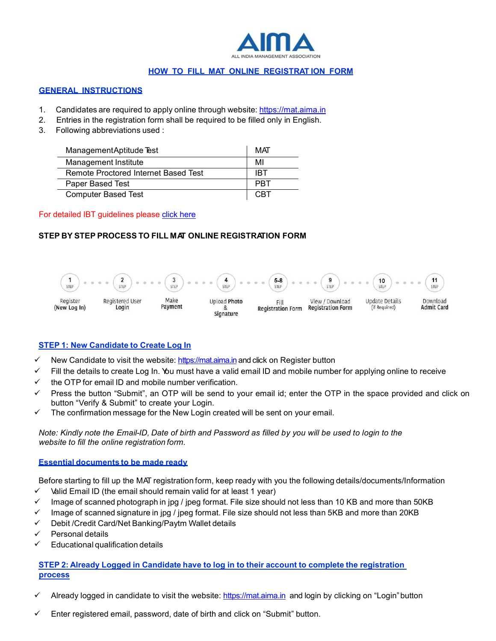

## **HOW TO FILL MAT ONLINE REGISTRAT ION FORM**

#### **GENERAL INSTRUCTIONS**

- 1. Candidates are required to apply online through website: <https://mat.aima.in>
- 2. Entries in the registration form shall be required to be filled only in English.
- 3. Following abbreviations used :

| ManagementAptitude Test              | MAT |
|--------------------------------------|-----|
| Management Institute                 | MI  |
| Remote Proctored Internet Based Test | IBT |
| Paper Based Test                     | PRT |
| <b>Computer Based Test</b>           | רR: |

#### For detailed IBT guidelines please click [here](https://mat.aima.in/dec20/frontend/web/uploads/ebook/ibt-guide/index.html)

### **STEP BY STEP PROCESS TO FILL MAT ONLINE REGISTRATION FORM**



### **STEP 1: New Candidate to Create Log In**

- $\checkmark$  New Candidate to visit the website: <https://mat.aima.in> and click on Register button
- $\checkmark$  Fill the details to create Log In. You must have a valid email ID and mobile number for applying online to receive
- $\checkmark$  the OTP for email ID and mobile number verification.
- Press the button "Submit", an OTP will be send to your email id; enter the OTP in the space provided and click on button "Verify & Submit" to create your Login.
- $\checkmark$  The confirmation message for the New Login created will be sent on your email.

Note: Kindly note the Email-ID, Date of birth and Password as filled by you will be used to login to the *website to fill the online registration form.*

#### **Essential documents to be made ready**

Before starting to fill up the MAT registration form, keep ready with you the following details/documents/Information

- $\checkmark$  Valid Email ID (the email should remain valid for at least 1 year)
- $\checkmark$  Image of scanned photograph in jpg / jpeg format. File size should not less than 10 KB and more than 50KB
- Image of scanned signature in jpg / jpeg format. File size should not less than 5KB and more than 20KB
- Debit /Credit Card/Net Banking/Paytm Wallet details
- $\checkmark$  Personal details
- $\checkmark$  Educational qualification details

## **STEP 2: Already Logged in Candidate have to log in to their account to complete the registration process**

- Already logged in candidate to visit the website: <https://mat.aima.in> and login by clicking on "Login"button
- Enter registered email, password, date of birth and click on "Submit" button.